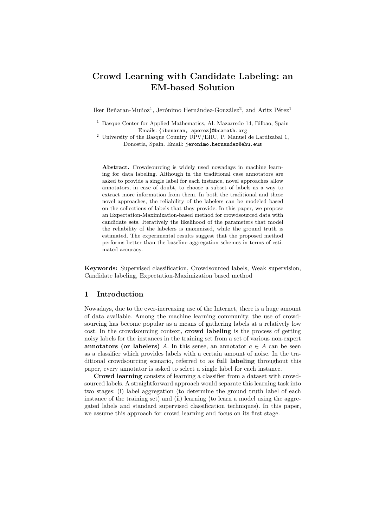# Crowd Learning with Candidate Labeling: an EM-based Solution

Iker Beñaran-Muñoz<sup>1</sup>, Jerónimo Hernández-González<sup>2</sup>, and Aritz Pérez<sup>1</sup>

Abstract. Crowdsourcing is widely used nowadays in machine learning for data labeling. Although in the traditional case annotators are asked to provide a single label for each instance, novel approaches allow annotators, in case of doubt, to choose a subset of labels as a way to extract more information from them. In both the traditional and these novel approaches, the reliability of the labelers can be modeled based on the collections of labels that they provide. In this paper, we propose an Expectation-Maximization-based method for crowdsourced data with candidate sets. Iteratively the likelihood of the parameters that model the reliability of the labelers is maximized, while the ground truth is estimated. The experimental results suggest that the proposed method performs better than the baseline aggregation schemes in terms of estimated accuracy.

Keywords: Supervised classification, Crowdsourced labels, Weak supervision, Candidate labeling, Expectation-Maximization based method

## 1 Introduction

Nowadays, due to the ever-increasing use of the Internet, there is a huge amount of data available. Among the machine learning community, the use of crowdsourcing has become popular as a means of gathering labels at a relatively low cost. In the crowdsourcing context, crowd labeling is the process of getting noisy labels for the instances in the training set from a set of various non-expert **annotators (or labelers)** A. In this sense, an annotator  $a \in A$  can be seen as a classifier which provides labels with a certain amount of noise. In the traditional crowdsourcing scenario, referred to as full labeling throughout this paper, every annotator is asked to select a single label for each instance.

Crowd learning consists of learning a classifier from a dataset with crowdsourced labels. A straightforward approach would separate this learning task into two stages: (i) label aggregation (to determine the ground truth label of each instance of the training set) and (ii) learning (to learn a model using the aggregated labels and standard supervised classification techniques). In this paper, we assume this approach for crowd learning and focus on its first stage.

<sup>&</sup>lt;sup>1</sup> Basque Center for Applied Mathematics, Al. Mazarredo 14, Bilbao, Spain Emails: {ibenaran, aperez}@bcamath.org

<sup>2</sup> University of the Basque Country UPV/EHU, P. Manuel de Lardizabal 1, Donostia, Spain. Email: jeronimo.hernandez@ehu.eus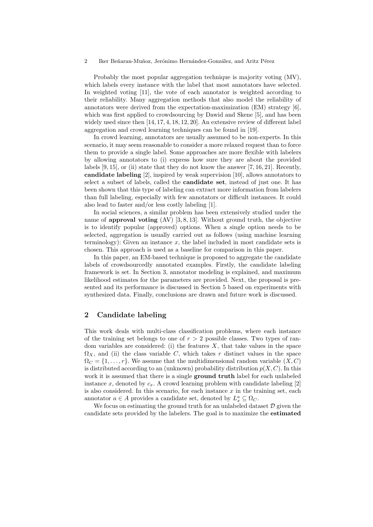Probably the most popular aggregation technique is majority voting (MV), which labels every instance with the label that most annotators have selected. In weighted voting [11], the vote of each annotator is weighted according to their reliability. Many aggregation methods that also model the reliability of annotators were derived from the expectation-maximization (EM) strategy [6], which was first applied to crowdsourcing by Dawid and Skene [5], and has been widely used since then [14, 17, 4, 18, 12, 20]. An extensive review of different label aggregation and crowd learning techniques can be found in [19].

In crowd learning, annotators are usually assumed to be non-experts. In this scenario, it may seem reasonable to consider a more relaxed request than to force them to provide a single label. Some approaches are more flexible with labelers by allowing annotators to (i) express how sure they are about the provided labels [9, 15], or (ii) state that they do not know the answer [7, 16, 21]. Recently, candidate labeling [2], inspired by weak supervision [10], allows annotators to select a subset of labels, called the candidate set, instead of just one. It has been shown that this type of labeling can extract more information from labelers than full labeling, especially with few annotators or difficult instances. It could also lead to faster and/or less costly labeling [1].

In social sciences, a similar problem has been extensively studied under the name of **approval voting** (AV) [3, 8, 13]. Without ground truth, the objective is to identify popular (approved) options. When a single option needs to be selected, aggregation is usually carried out as follows (using machine learning terminology): Given an instance  $x$ , the label included in most candidate sets is chosen. This approach is used as a baseline for comparison in this paper.

In this paper, an EM-based technique is proposed to aggregate the candidate labels of crowdsourcedly annotated examples. Firstly, the candidate labeling framework is set. In Section 3, annotator modeling is explained, and maximum likelihood estimates for the parameters are provided. Next, the proposal is presented and its performance is discussed in Section 5 based on experiments with synthesized data. Finally, conclusions are drawn and future work is discussed.

## 2 Candidate labeling

This work deals with multi-class classification problems, where each instance of the training set belongs to one of  $r > 2$  possible classes. Two types of random variables are considered: (i) the features  $X$ , that take values in the space  $\Omega_X$ , and (ii) the class variable C, which takes r distinct values in the space  $\Omega_C = \{1, \ldots, r\}$ . We assume that the multidimensional random variable  $(X, C)$ is distributed according to an (unknown) probability distribution  $p(X, C)$ . In this work it is assumed that there is a single ground truth label for each unlabeled instance x, denoted by  $c_x$ . A crowd learning problem with candidate labeling [2] is also considered. In this scenario, for each instance  $x$  in the training set, each annotator  $a \in A$  provides a candidate set, denoted by  $L_x^a \subseteq \Omega_C$ .

We focus on estimating the ground truth for an unlabeled dataset  $D$  given the candidate sets provided by the labelers. The goal is to maximize the estimated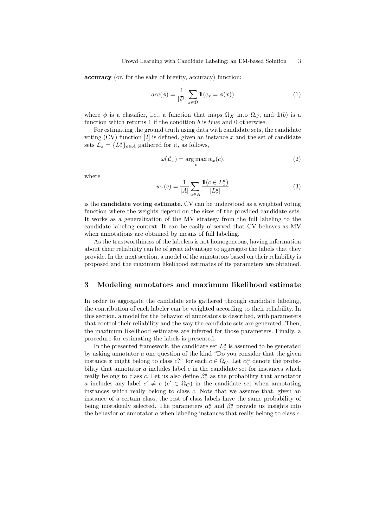accuracy (or, for the sake of brevity, accuracy) function:

$$
acc(\phi) = \frac{1}{|\mathcal{D}|} \sum_{x \in \mathcal{D}} \mathbb{1}(c_x = \phi(x)) \tag{1}
$$

where  $\phi$  is a classifier, i.e., a function that maps  $\Omega_X$  into  $\Omega_C$ , and  $\mathbb{1}(b)$  is a function which returns 1 if the condition  $b$  is  $true$  and 0 otherwise.

For estimating the ground truth using data with candidate sets, the candidate voting  $(CV)$  function  $[2]$  is defined, given an instance x and the set of candidate sets  $\mathcal{L}_x = \{L_x^a\}_{a \in A}$  gathered for it, as follows,

$$
\omega(\mathcal{L}_x) = \underset{c}{\arg\max} w_x(c),\tag{2}
$$

where

$$
w_x(c) = \frac{1}{|A|} \sum_{a \in A} \frac{\mathbb{1}(c \in L_x^a)}{|L_x^a|}
$$
 (3)

is the candidate voting estimate. CV can be understood as a weighted voting function where the weights depend on the sizes of the provided candidate sets. It works as a generalization of the MV strategy from the full labeling to the candidate labeling context. It can be easily observed that CV behaves as MV when annotations are obtained by means of full labeling.

As the trustworthiness of the labelers is not homogeneous, having information about their reliability can be of great advantage to aggregate the labels that they provide. In the next section, a model of the annotators based on their reliability is proposed and the maximum likelihood estimates of its parameters are obtained.

# 3 Modeling annotators and maximum likelihood estimate

In order to aggregate the candidate sets gathered through candidate labeling, the contribution of each labeler can be weighted according to their reliability. In this section, a model for the behavior of annotators is described, with parameters that control their reliability and the way the candidate sets are generated. Then, the maximum likelihood estimates are inferred for those parameters. Finally, a procedure for estimating the labels is presented.

In the presented framework, the candidate set  $L_x^a$  is assumed to be generated by asking annotator a one question of the kind "Do you consider that the given instance x might belong to class  $c$ ?" for each  $c \in \Omega_C$ . Let  $\alpha_c^a$  denote the probability that annotator  $a$  includes label  $c$  in the candidate set for instances which really belong to class c. Let us also define  $\beta_c^a$  as the probability that annotator a includes any label  $c' \neq c$   $(c' \in \Omega_C)$  in the candidate set when annotating instances which really belong to class c. Note that we assume that, given an instance of a certain class, the rest of class labels have the same probability of being mistakenly selected. The parameters  $\alpha_c^a$  and  $\beta_c^a$  provide us insights into the behavior of annotator  $a$  when labeling instances that really belong to class  $c$ .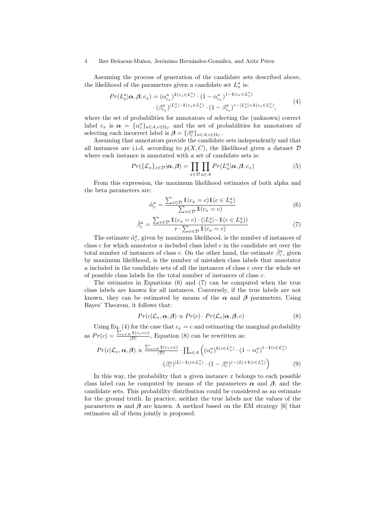Assuming the process of generation of the candidate sets described above, the likelihood of the parameters given a candidate set  $L_x^a$  is:

$$
Pr(L_x^a|\alpha, \beta, c_x) = (\alpha_{c_x}^a)^{1(c_x \in L_x^a)} \cdot (1 - \alpha_{c_x}^a)^{1 - 1(c_x \in L_x^a)}
$$
  
 
$$
\cdot (\beta_{c_x}^a)^{|L_x^a| - 1(c_x \in L_x^a)} \cdot (1 - \beta_{c_x}^a)^{r - |L_x^a| + 1(c_x \in L_x^a)},
$$
<sup>(4)</sup>

where the set of probabilities for annotators of selecting the (unknown) correct label  $c_x$  is  $\alpha = {\alpha_c^a}_{a \in A, c \in \Omega_C}$  and the set of probabilities for annotators of selecting each incorrect label is  $\beta = {\beta_c^a}_{a \in A, c \in \Omega_c}$ .

Assuming that annotators provide the candidate sets independently and that all instances are i.i.d. according to  $p(X, C)$ , the likelihood given a dataset  $D$ where each instance is annotated with a set of candidate sets is:

$$
Pr(\{\mathcal{L}_x\}_{x \in \mathcal{D}} | \boldsymbol{\alpha}, \boldsymbol{\beta}) = \prod_{x \in \mathcal{D}} \prod_{a \in A} Pr(L_x^a | \boldsymbol{\alpha}, \boldsymbol{\beta}, c_x)
$$
(5)

From this expression, the maximum likelihood estimates of both alpha and the beta parameters are:

$$
\hat{\alpha}_c^a = \frac{\sum_{x \in \mathcal{D}} \mathbb{1}(c_x = c) \mathbb{1}(c \in L_x^a)}{\sum_{x \in \mathcal{D}} \mathbb{1}(c_x = c)}\tag{6}
$$

$$
\hat{\beta}_c^a = \frac{\sum_{x \in \mathcal{D}} \mathbb{1}(c_x = c) \cdot (|L_x^a| - \mathbb{1}(c \in L_x^a))}{r \cdot \sum_{x \in \mathcal{D}} \mathbb{1}(c_x = c)} \tag{7}
$$

The estimate  $\hat{\alpha}_{c}^{a},$  given by maximum likelihood, is the number of instances of class c for which annotator a included class label c in the candidate set over the total number of instances of class c. On the other hand, the estimate  $\hat{\beta}_c^a$ , given by maximum likelihood, is the number of mistaken class labels that annotator a included in the candidate sets of all the instances of class c over the whole set of possible class labels for the total number of instances of class c.

The estimates in Equations (6) and (7) can be computed when the true class labels are known for all instances. Conversely, if the true labels are not known, they can be estimated by means of the  $\alpha$  and  $\beta$  parameters. Using Bayes' Theorem, it follows that:

$$
Pr(c|\mathcal{L}_x, \alpha, \beta) \propto Pr(c) \cdot Pr(\mathcal{L}_x|\alpha, \beta, c)
$$
\n(8)

Using Eq. (4) for the case that  $c_x = c$  and estimating the marginal probability as  $Pr(c) = \frac{\sum_{x \in \mathcal{D}} 1(c_x = c)}{|\mathcal{D}|}$ , Equation (8) can be rewritten as:

$$
Pr(c|\mathcal{L}_x, \alpha, \beta) \propto \frac{\sum_{x \in \mathcal{D}} 1(c_x = c)}{|\mathcal{D}|} \cdot \prod_{a \in A} \left( (\alpha_c^a)^{1(c \in L_x^a)} \cdot (1 - \alpha_c^a)^{1 - 1(c \in L_x^a)} \right. \left. (\beta_c^a)^{|L| - 1(c \in L_x^a)} \cdot (1 - \beta_c^a)^{r - |L| + 1(c \in L_x^a)} \right) \tag{9}
$$

In this way, the probability that a given instance  $x$  belongs to each possible class label can be computed by means of the parameters  $\alpha$  and  $\beta$ , and the candidate sets. This probability distribution could be considered as an estimate for the ground truth. In practice, neither the true labels nor the values of the parameters  $\alpha$  and  $\beta$  are known. A method based on the EM strategy [6] that estimates all of them jointly is proposed.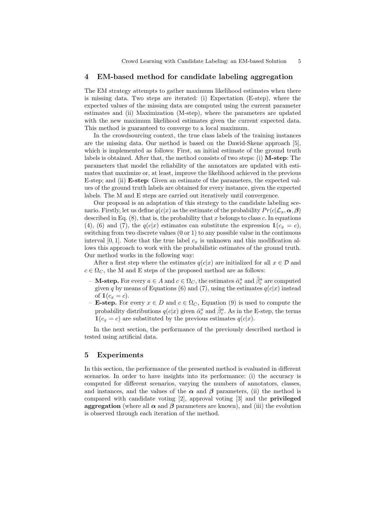#### 4 EM-based method for candidate labeling aggregation

The EM strategy attempts to gather maximum likelihood estimates when there is missing data. Two steps are iterated: (i) Expectation (E-step), where the expected values of the missing data are computed using the current parameter estimates and (ii) Maximization (M-step), where the parameters are updated with the new maximum likelihood estimates given the current expected data. This method is guaranteed to converge to a local maximum.

In the crowdsourcing context, the true class labels of the training instances are the missing data. Our method is based on the Dawid-Skene approach [5], which is implemented as follows: First, an initial estimate of the ground truth labels is obtained. After that, the method consists of two steps: (i) M-step: The parameters that model the reliability of the annotators are updated with estimates that maximize or, at least, improve the likelihood achieved in the previous E-step; and (ii) E-step: Given an estimate of the parameters, the expected values of the ground truth labels are obtained for every instance, given the expected labels. The M and E steps are carried out iteratively until convergence.

Our proposal is an adaptation of this strategy to the candidate labeling scenario. Firstly, let us define  $q(c|x)$  as the estimate of the probability  $Pr(c|\mathcal{L}_x, \alpha, \beta)$ described in Eq.  $(8)$ , that is, the probability that x belongs to class c. In equations (4), (6) and (7), the  $q(c|x)$  estimates can substitute the expression  $\mathbb{1}(c_x = c)$ , switching from two discrete values (0 or 1) to any possible value in the continuous interval [0, 1]. Note that the true label  $c_x$  is unknown and this modification allows this approach to work with the probabilistic estimates of the ground truth. Our method works in the following way:

After a first step where the estimates  $q(c|x)$  are initialized for all  $x \in \mathcal{D}$  and  $c \in \Omega_C$ , the M and E steps of the proposed method are as follows:

- $-$  **M-step.** For every  $a \in A$  and  $c \in \Omega_C$ , the estimates  $\hat{\alpha}_c^a$  and  $\hat{\beta}_c^a$  are computed given q by means of Equations (6) and (7), using the estimates  $q(c|x)$  instead of  $\mathbb{1}(c_x = c)$ .
- **E-step.** For every  $x \in D$  and  $c \in \Omega_C$ , Equation (9) is used to compute the probability distributions  $q(c|x)$  given  $\hat{\alpha}_c^a$  and  $\hat{\beta}_c^a$ . As in the E-step, the terms  $\mathbb{1}(c_x = c)$  are substituted by the previous estimates  $q(c|x)$ .

In the next section, the performance of the previously described method is tested using artificial data.

# 5 Experiments

In this section, the performance of the presented method is evaluated in different scenarios. In order to have insights into its performance: (i) the accuracy is computed for different scenarios, varying the numbers of annotators, classes, and instances, and the values of the  $\alpha$  and  $\beta$  parameters, (ii) the method is compared with candidate voting [2], approval voting [3] and the privileged aggregation (where all  $\alpha$  and  $\beta$  parameters are known), and (iii) the evolution is observed through each iteration of the method.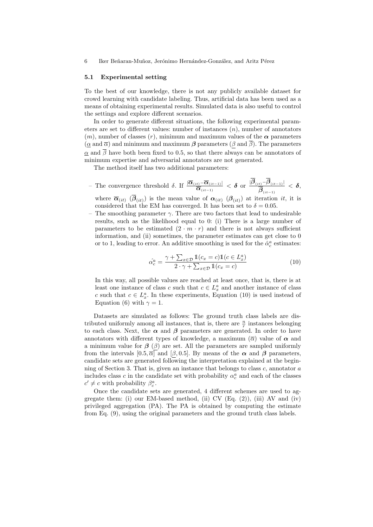#### 5.1 Experimental setting

To the best of our knowledge, there is not any publicly available dataset for crowd learning with candidate labeling. Thus, artificial data has been used as a means of obtaining experimental results. Simulated data is also useful to control the settings and explore different scenarios.

In order to generate different situations, the following experimental parameters are set to different values: number of instances  $(n)$ , number of annotators  $(m)$ , number of classes  $(r)$ , minimum and maximum values of the  $\alpha$  parameters  $(\alpha \text{ and } \overline{\alpha})$  and minimum and maximum  $\beta$  parameters ( $\beta$  and  $\overline{\beta}$ ). The parameters  $\alpha$  and  $\overline{\beta}$  have both been fixed to 0.5, so that there always can be annotators of minimum expertise and adversarial annotators are not generated.

The method itself has two additional parameters:

- The convergence threshold δ. If  $\frac{|\overline{\alpha}_{(it)}-\overline{\alpha}_{(it-1)}|}{\overline{\alpha}_{(it-1)}} < \delta$  or  $\frac{|\beta_{(it)}-\beta_{(it-1)}|}{\overline{\beta}_{(it-1)}}$  $\frac{\overline{\beta}_{(it-1)}-\overline{\beta}_{(it-1)}}{\overline{\beta}_{(it-1)}} < \delta,$ where  $\bar{\boldsymbol{\alpha}}_{(it)}$  ( $\boldsymbol{\beta}_{(it)}$ ) is the mean value of  $\boldsymbol{\alpha}_{(it)}$  ( $\boldsymbol{\beta}_{(it)}$ ) at iteration it, it is considered that the EM has converged. It has been set to  $\delta = 0.05$ .
- The smoothing parameter  $\gamma$ . There are two factors that lead to undesirable results, such as the likelihood equal to 0: (i) There is a large number of parameters to be estimated  $(2 \cdot m \cdot r)$  and there is not always sufficient information, and (ii) sometimes, the parameter estimates can get close to 0 or to 1, leading to error. An additive smoothing is used for the  $\hat{\alpha}^a_c$  estimates:

$$
\hat{\alpha}_c^a = \frac{\gamma + \sum_{x \in \mathcal{D}} \mathbb{1}(c_x = c) \mathbb{1}(c \in L_x^a)}{2 \cdot \gamma + \sum_{x \in \mathcal{D}} \mathbb{1}(c_x = c)}
$$
(10)

In this way, all possible values are reached at least once, that is, there is at least one instance of class c such that  $c \in L_x^a$  and another instance of class c such that  $c \in L_x^a$ . In these experiments, Equation (10) is used instead of Equation (6) with  $\gamma = 1$ .

Datasets are simulated as follows: The ground truth class labels are distributed uniformly among all instances, that is, there are  $\frac{n}{r}$  instances belonging to each class. Next, the  $\alpha$  and  $\beta$  parameters are generated. In order to have annotators with different types of knowledge, a maximum  $(\overline{\alpha})$  value of  $\alpha$  and a minimum value for  $\beta$  ( $\beta$ ) are set. All the parameters are sampled uniformly from the intervals  $[0.5, \overline{\alpha}]$  and  $[\beta, 0.5]$ . By means of the  $\alpha$  and  $\beta$  parameters, candidate sets are generated following the interpretation explained at the beginning of Section 3. That is, given an instance that belongs to class  $c$ , annotator  $a$ includes class c in the candidate set with probability  $\alpha_c^a$  and each of the classes  $c' \neq c$  with probability  $\beta_c^a$ .

Once the candidate sets are generated, 4 different schemes are used to aggregate them: (i) our EM-based method, (ii)  $CV$  (Eq. (2)), (iii)  $AV$  and (iv) privileged aggregation (PA). The PA is obtained by computing the estimate from Eq. (9), using the original parameters and the ground truth class labels.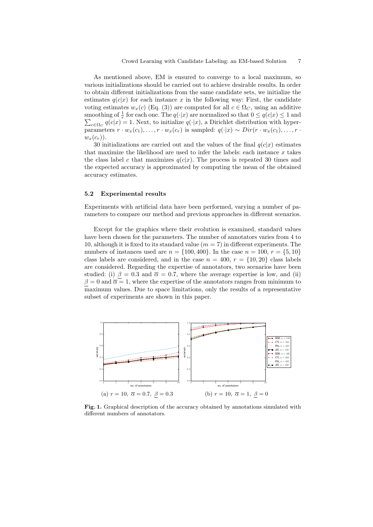As mentioned above, EM is ensured to converge to a local maximum, so various initializations should be carried out to achieve desirable results. In order to obtain different initializations from the same candidate sets, we initialize the estimates  $q(c|x)$  for each instance x in the following way: First, the candidate voting estimates  $w_x(c)$  (Eq. (3)) are computed for all  $c \in \Omega_C$ , using an additive smoothing of  $\frac{1}{r}$  for each one. The  $q(\cdot|x)$  are normalized so that  $0 \leq q(c|x) \leq 1$  and smoothing or  $\gamma$  for each one. The  $q(\cdot|x)$  are normalized so that  $\sigma \leq q(\cdot|x) \leq 1$  and  $\sum_{c \in \Omega_C} q(c|x) = 1$ . Next, to initialize  $q(\cdot|x)$ , a Dirichlet distribution with hyperparameters  $r \cdot w_x(c_1), \ldots, r \cdot w_x(c_r)$  is sampled:  $q(\cdot|x) \sim Dir(r \cdot w_x(c_1), \ldots, r \cdot$  $w_x(c_r)$ .

30 initializations are carried out and the values of the final  $q(c|x)$  estimates that maximize the likelihood are used to infer the labels: each instance  $x$  takes the class label c that maximizes  $q(c|x)$ . The process is repeated 30 times and the expected accuracy is approximated by computing the mean of the obtained accuracy estimates.

#### 5.2 Experimental results

Experiments with artificial data have been performed, varying a number of parameters to compare our method and previous approaches in different scenarios.

Except for the graphics where their evolution is examined, standard values have been chosen for the parameters. The number of annotators varies from 4 to 10, although it is fixed to its standard value  $(m = 7)$  in different experiments. The numbers of instances used are  $n = \{100, 400\}$ . In the case  $n = 100$ ,  $r = \{5, 10\}$ class labels are considered, and in the case  $n = 400$ ,  $r = \{10, 20\}$  class labels are considered. Regarding the expertise of annotators, two scenarios have been studied: (i)  $\beta = 0.3$  and  $\overline{\alpha} = 0.7$ , where the average expertise is low, and (ii)  $\beta = 0$  and  $\overline{\alpha} = 1$ , where the expertise of the annotators ranges from minimum to maximum values. Due to space limitations, only the results of a representative subset of experiments are shown in this paper.



Fig. 1. Graphical description of the accuracy obtained by annotations simulated with different numbers of annotators.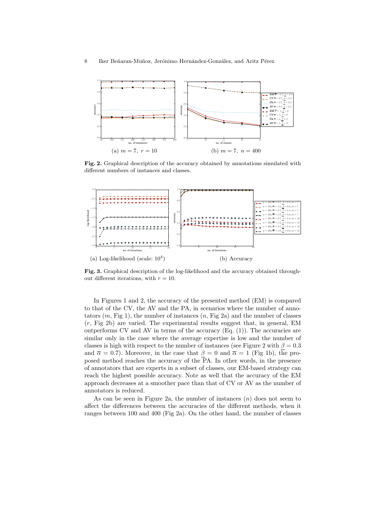

Fig. 2. Graphical description of the accuracy obtained by annotations simulated with different numbers of instances and classes.



Fig. 3. Graphical description of the log-likelihood and the accuracy obtained throughout different iterations, with  $r = 10$ .

In Figures 1 and 2, the accuracy of the presented method (EM) is compared to that of the CV, the AV and the PA, in scenarios where the number of annotators  $(m, Fig 1)$ , the number of instances  $(n, Fig 2a)$  and the number of classes  $(r, Fig 2b)$  are varied. The experimental results suggest that, in general, EM outperforms CV and AV in terms of the accuracy  $(Eq. (1))$ . The accuracies are similar only in the case where the average expertise is low and the number of classes is high with respect to the number of instances (see Figure 2 with  $\beta = 0.3$ ) and  $\bar{\alpha} = 0.7$ ). Moreover, in the case that  $\beta = 0$  and  $\bar{\alpha} = 1$  (Fig 1b), the proposed method reaches the accuracy of the  $\overline{P}A$ . In other words, in the presence of annotators that are experts in a subset of classes, our EM-based strategy can reach the highest possible accuracy. Note as well that the accuracy of the EM approach decreases at a smoother pace than that of CV or AV as the number of annotators is reduced.

As can be seen in Figure 2a, the number of instances  $(n)$  does not seem to affect the differences between the accuracies of the different methods, when it ranges between 100 and 400 (Fig 2a). On the other hand, the number of classes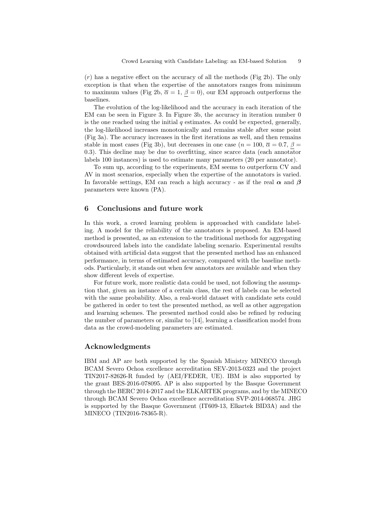(r) has a negative effect on the accuracy of all the methods (Fig 2b). The only exception is that when the expertise of the annotators ranges from minimum to maximum values (Fig 2b,  $\bar{\alpha} = 1, \beta = 0$ ), our EM approach outperforms the baselines.

The evolution of the log-likelihood and the accuracy in each iteration of the EM can be seen in Figure 3. In Figure 3b, the accuracy in iteration number 0 is the one reached using the initial  $q$  estimates. As could be expected, generally, the log-likelihood increases monotonically and remains stable after some point (Fig 3a). The accuracy increases in the first iterations as well, and then remains stable in most cases (Fig 3b), but decreases in one case ( $n = 100$ ,  $\overline{\alpha} = 0.7$ ,  $\beta =$ 0.3). This decline may be due to overfitting, since scarce data (each annotator labels 100 instances) is used to estimate many parameters (20 per annotator).

To sum up, according to the experiments, EM seems to outperform CV and AV in most scenarios, especially when the expertise of the annotators is varied. In favorable settings, EM can reach a high accuracy - as if the real  $\alpha$  and  $\beta$ parameters were known (PA).

# 6 Conclusions and future work

In this work, a crowd learning problem is approached with candidate labeling. A model for the reliability of the annotators is proposed. An EM-based method is presented, as an extension to the traditional methods for aggregating crowdsourced labels into the candidate labeling scenario. Experimental results obtained with artificial data suggest that the presented method has an enhanced performance, in terms of estimated accuracy, compared with the baseline methods. Particularly, it stands out when few annotators are available and when they show different levels of expertise.

For future work, more realistic data could be used, not following the assumption that, given an instance of a certain class, the rest of labels can be selected with the same probability. Also, a real-world dataset with candidate sets could be gathered in order to test the presented method, as well as other aggregation and learning schemes. The presented method could also be refined by reducing the number of parameters or, similar to [14], learning a classification model from data as the crowd-modeling parameters are estimated.

## Acknowledgments

IBM and AP are both supported by the Spanish Ministry MINECO through BCAM Severo Ochoa excellence accreditation SEV-2013-0323 and the project TIN2017-82626-R funded by (AEI/FEDER, UE). IBM is also supported by the grant BES-2016-078095. AP is also supported by the Basque Government through the BERC 2014-2017 and the ELKARTEK programs, and by the MINECO through BCAM Severo Ochoa excellence accreditation SVP-2014-068574. JHG is supported by the Basque Government (IT609-13, Elkartek BID3A) and the MINECO (TIN2016-78365-R).